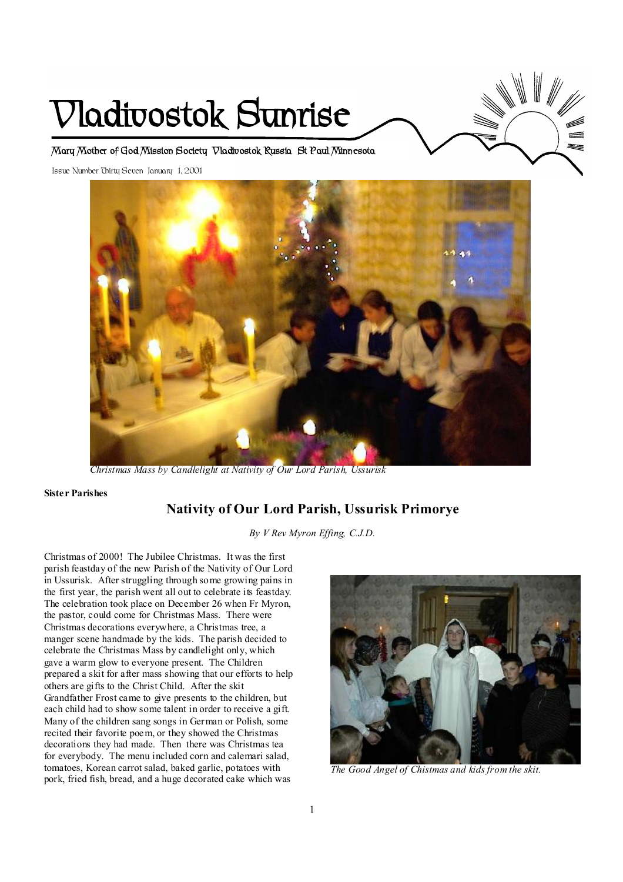# **Vladivostok Sunrise**



**Mary Mother of God Mission Society Vladivostok Russia St Paul Minnesota** 

Issue Number Thirty Seven January 1, 2001



 *Christmas Mass by Candlelight at Nativity of Our Lord Parish, Ussurisk* 

#### **Sister Parishes**

# **Nativity of Our Lord Parish, Ussurisk Primorye**

*By V Rev Myron Effing, C.J.D.* 

Christmas of 2000! The Jubilee Christmas. It was the first parish feastday of the new Parish of the Nativity of Our Lord in Ussurisk. After struggling through some growing pains in the first year, the parish went all out to celebrate its feastday. The celebration took place on December 26 when Fr Myron, the pastor, could come for Christmas Mass. There were Christmas decorations everywhere, a Christmas tree, a manger scene handmade by the kids. The parish decided to celebrate the Christmas Mass by candlelight only, which gave a warm glow to everyone present. The Children prepared a skit for after mass showing that our efforts to help others are gifts to the Christ Child. After the skit Grandfather Frost came to give presents to the children, but each child had to show some talent in order to receive a gift. Many of the children sang songs in German or Polish, some recited their favorite poem, or they showed the Christmas decorations they had made. Then there was Christmas tea for everybody. The menu included corn and calemari salad, tomatoes, Korean carrot salad, baked garlic, potatoes with pork, fried fish, bread, and a huge decorated cake which was



*The Good Angel of Chistmas and kids from the skit.*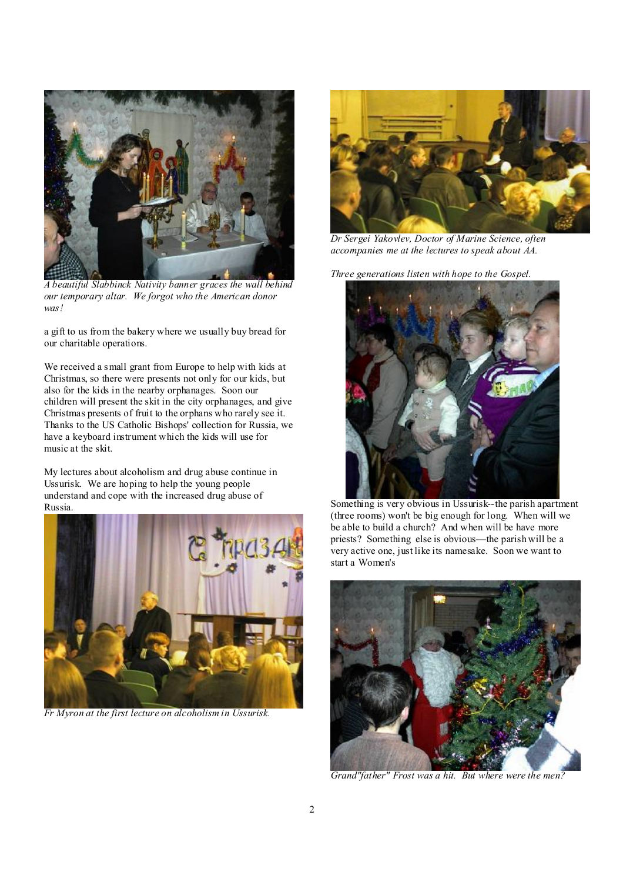

*A beautiful Slabbinck Nativity banner graces the wall behind our temporary altar. We forgot who the American donor was!* 

a gift to us from the bakery where we usually buy bread for our charitable operations.

We received a small grant from Europe to help with kids at Christmas, so there were presents not only for our kids, but also for the kids in the nearby orphanages. Soon our children will present the skit in the city orphanages, and give Christmas presents of fruit to the orphans who rarely see it. Thanks to the US Catholic Bishops' collection for Russia, we have a keyboard instrument which the kids will use for music at the skit.

My lectures about alcoholism and drug abuse continue in Ussurisk. We are hoping to help the young people understand and cope with the increased drug abuse of Russia.



*Fr Myron at the first lecture on alcoholism in Ussurisk.* 



*Dr Sergei Yakovlev, Doctor of Marine Science, often accompanies me at the lectures to speak about AA.* 

*Three generations listen with hope to the Gospel.* 



 Something is very obvious in Ussurisk--the parish apartment (three rooms) won't be big enough for long. When will we be able to build a church? And when will be have more priests? Something else is obvious—the parish will be a very active one, just like its namesake. Soon we want to start a Women's



*Grand"father" Frost was a hit. But where were the men?*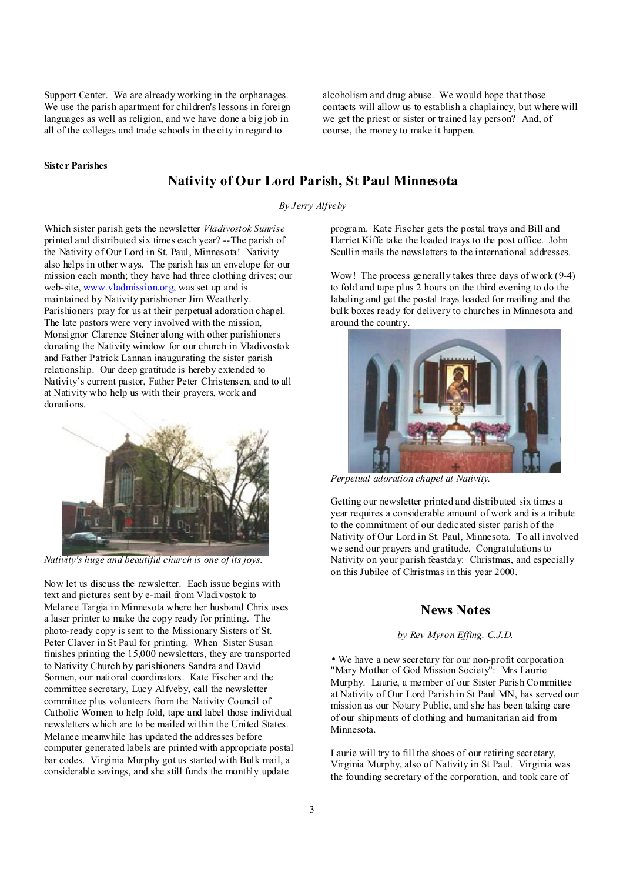Support Center. We are already working in the orphanages. We use the parish apartment for children's lessons in foreign languages as well as religion, and we have done a big job in all of the colleges and trade schools in the city in regard to

alcoholism and drug abuse. We would hope that those contacts will allow us to establish a chaplaincy, but where will we get the priest or sister or trained lay person? And, of course, the money to make it happen.

#### **Sister Parishes**

# **Nativity of Our Lord Parish, St Paul Minnesota**

#### *By Jerry Alfveby*

Which sister parish gets the newsletter *Vladivostok Sunrise* printed and distributed six times each year? --The parish of the Nativity of Our Lord in St. Paul, Minnesota! Nativity also helps in other ways. The parish has an envelope for our mission each month; they have had three clothing drives; our web-site, [www.vladmission.org,](http://www.vladmission.org) was set up and is maintained by Nativity parishioner Jim Weatherly. Parishioners pray for us at their perpetual adoration chapel. The late pastors were very involved with the mission, Monsignor Clarence Steiner along with other parishioners donating the Nativity window for our church in Vladivostok and Father Patrick Lannan inaugurating the sister parish relationship. Our deep gratitude is hereby extended to Nativity's current pastor, Father Peter Christensen, and to all at Nativity who help us with their prayers, work and donations.



Now let us discuss the newsletter. Each issue begins with text and pictures sent by e-mail from Vladivostok to Melanee Targia in Minnesota where her husband Chris uses a laser printer to make the copy ready for printing. The photo-ready copy is sent to the Missionary Sisters of St. Peter Claver in St Paul for printing. When Sister Susan finishes printing the 15,000 newsletters, they are transported to Nativity Church by parishioners Sandra and David Sonnen, our national coordinators. Kate Fischer and the committee secretary, Lucy Alfveby, call the newsletter committee plus volunteers from the Nativity Council of Catholic Women to help fold, tape and label those individual newsletters which are to be mailed within the United States. Melanee meanwhile has updated the addresses before computer generated labels are printed with appropriate postal bar codes. Virginia Murphy got us started with Bulk mail, a considerable savings, and she still funds the monthly update

program. Kate Fischer gets the postal trays and Bill and Harriet Kiffe take the loaded trays to the post office. John Scullin mails the newsletters to the international addresses.

Wow! The process generally takes three days of work (9-4) to fold and tape plus 2 hours on the third evening to do the labeling and get the postal trays loaded for mailing and the bulk boxes ready for delivery to churches in Minnesota and around the country.



l. *Perpetual adoration chapel at Nativity.* 

Getting our newsletter printed and distributed six times a year requires a considerable amount of work and is a tribute to the commitment of our dedicated sister parish of the Nativity of Our Lord in St. Paul, Minnesota. To all involved we send our prayers and gratitude. Congratulations to Nativity on your parish feastday: Christmas, and especially on this Jubilee of Christmas in this year 2000.

## **News Notes**

#### *by Rev Myron Effing, C.J.D.*

• We have a new secretary for our non-profit corporation "Mary Mother of God Mission Society": Mrs Laurie Murphy. Laurie, a member of our Sister Parish Committee at Nativity of Our Lord Parish in St Paul MN, has served our mission as our Notary Public, and she has been taking care of our shipments of clothing and humanitarian aid from Minnesota.

Laurie will try to fill the shoes of our retiring secretary, Virginia Murphy, also of Nativity in St Paul. Virginia was the founding secretary of the corporation, and took care of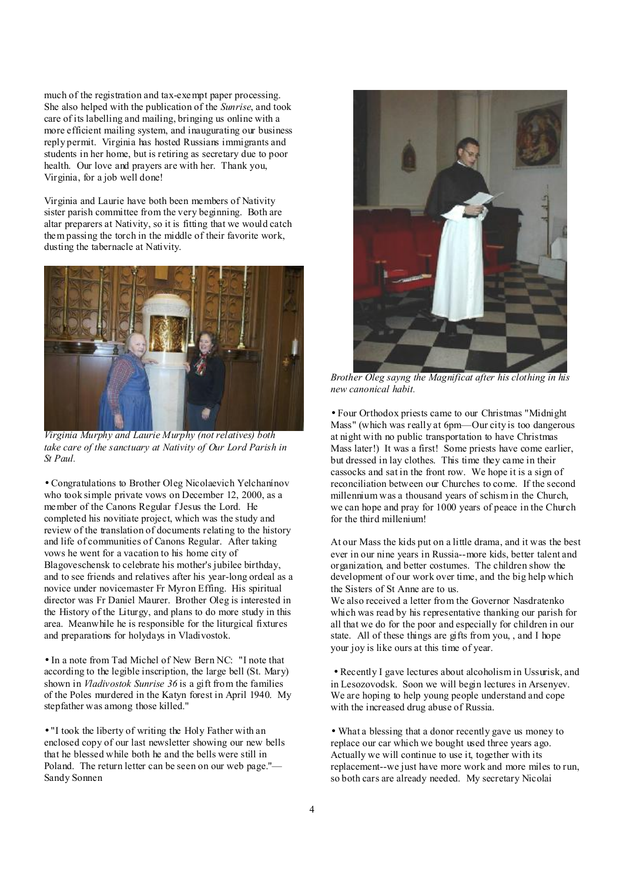much of the registration and tax-exempt paper processing. She also helped with the publication of the *Sunrise*, and took care of its labelling and mailing, bringing us online with a more efficient mailing system, and inaugurating our business reply permit. Virginia has hosted Russians immigrants and students in her home, but is retiring as secretary due to poor health. Our love and prayers are with her. Thank you, Virginia, for a job well done!

Virginia and Laurie have both been members of Nativity sister parish committee from the very beginning. Both are altar preparers at Nativity, so it is fitting that we would catch them passing the torch in the middle of their favorite work, dusting the tabernacle at Nativity.



*Virginia Murphy and Laurie Murphy (not relatives) both take care of the sanctuary at Nativity of Our Lord Parish in St Paul.* 

• Congratulations to Brother Oleg Nicolaevich Yelchanínov who took simple private vows on December 12, 2000, as a member of the Canons Regular fJesus the Lord. He completed his novitiate project, which was the study and review of the translation of documents relating to the history and life of communities of Canons Regular. After taking vows he went for a vacation to his home city of Blagoveschensk to celebrate his mother's jubilee birthday, and to see friends and relatives after his year-long ordeal as a novice under novicemaster Fr Myron Effing. His spiritual director was Fr Daniel Maurer. Brother Oleg is interested in the History of the Liturgy, and plans to do more study in this area. Meanwhile he is responsible for the liturgical fixtures and preparations for holydays in Vladivostok.

• In a note from Tad Michel of New Bern NC: "I note that according to the legible inscription, the large bell (St. Mary) shown in *Vladivostok Sunrise 36* is a gift from the families of the Poles murdered in the Katyn forest in April 1940. My stepfather was among those killed."

• "I took the liberty of writing the Holy Father with an enclosed copy of our last newsletter showing our new bells that he blessed while both he and the bells were still in Poland. The return letter can be seen on our web page."— Sandy Sonnen



*new canonical habit.* 

• Four Orthodox priests came to our Christmas "Midnight Mass" (which was really at 6pm—Our city is too dangerous at night with no public transportation to have Christmas Mass later!) It was a first! Some priests have come earlier, but dressed in lay clothes. This time they came in their cassocks and sat in the front row. We hope it is a sign of reconciliation between our Churches to come. If the second millennium was a thousand years of schism in the Church, we can hope and pray for 1000 years of peace in the Church for the third millenium!

At our Mass the kids put on a little drama, and it was the best ever in our nine years in Russia--more kids, better talent and organization, and better costumes. The children show the development of our work over time, and the big help which the Sisters of St Anne are to us.

We also received a letter from the Governor Nasdratenko which was read by his representative thanking our parish for all that we do for the poor and especially for children in our state. All of these things are gifts from you, , and I hope your joy is like ours at this time of year.

 • Recently I gave lectures about alcoholism in Ussurisk, and in Lesozovodsk. Soon we will begin lectures in Arsenyev. We are hoping to help young people understand and cope with the increased drug abuse of Russia.

• What a blessing that a donor recently gave us money to replace our car which we bought used three years ago. Actually we will continue to use it, together with its replacement--we just have more work and more miles to run, so both cars are already needed. My secretary Nicolai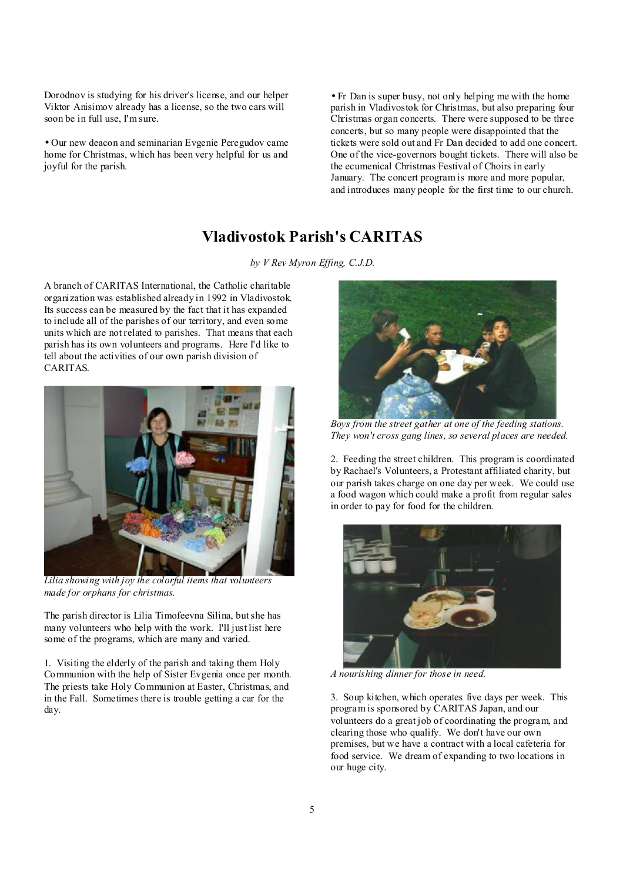Dorodnov is studying for his driver's license, and our helper Viktor Anisimov already has a license, so the two cars will soon be in full use, I'm sure.

• Our new deacon and seminarian Evgenie Peregudov came home for Christmas, which has been very helpful for us and joyful for the parish.

• Fr Dan is super busy, not only helping me with the home parish in Vladivostok for Christmas, but also preparing four Christmas organ concerts. There were supposed to be three concerts, but so many people were disappointed that the tickets were sold out and Fr Dan decided to add one concert. One of the vice-governors bought tickets. There will also be the ecumenical Christmas Festival of Choirs in early January. The concert program is more and more popular, and introduces many people for the first time to our church.

# **Vladivostok Parish's CARITAS**

*by V Rev Myron Effing, C.J.D.* 

A branch of CARITAS International, the Catholic charitable organization was established already in 1992 in Vladivostok. Its success can be measured by the fact that it has expanded to include all of the parishes of our territory, and even some units which are not related to parishes. That means that each parish has its own volunteers and programs. Here I'd like to tell about the activities of our own parish division of CARITAS.



*Lilia showing with joy the colorful items that volunteers made for orphans for christmas.* 

The parish director is Lilia Timofeevna Silina, butshe has many volunteers who help with the work. I'll just list here some of the programs, which are many and varied.

1. Visiting the elderly of the parish and taking them Holy Communion with the help of Sister Evgenia once per month. The priests take Holy Communion at Easter, Christmas, and in the Fall. Sometimes there is trouble getting a car for the day.



 *Boys from the street gather at one of the feeding stations. They won't cross gang lines, so several places are needed.* 

2. Feeding the street children. This program is coordinated by Rachael's Volunteers, a Protestant affiliated charity, but our parish takes charge on one day per week. We could use a food wagon which could make a profit from regular sales in order to pay for food for the children.



*A nourishing dinner for those in need.* 

3. Soup kitchen, which operates five days per week. This program is sponsored by CARITAS Japan, and our volunteers do a great job of coordinating the program, and clearing those who qualify. We don't have our own premises, but we have a contract with a local cafeteria for food service. We dream of expanding to two locations in our huge city.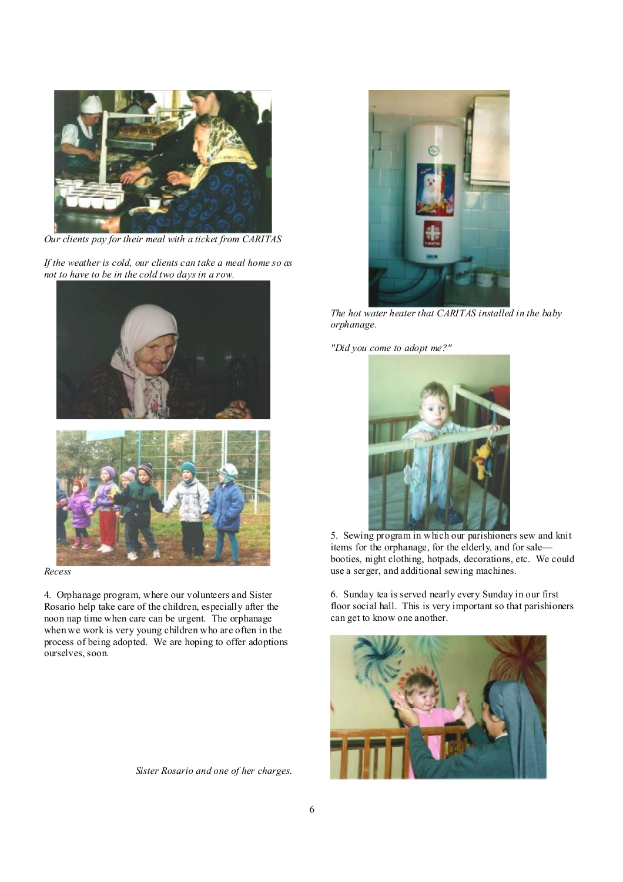

*Our clients pay for their meal with a ticket from CARITAS* 

*If the weather is cold, our clients can take a meal home so as not to have to be in the cold two days in a row.* 





*Recess* 

4. Orphanage program, where our volunteers and Sister Rosario help take care of the children, especially after the noon nap time when care can be urgent. The orphanage when we work is very young children who are often in the process of being adopted. We are hoping to offer adoptions ourselves, soon.

 *Sister Rosario and one of her charges.* 



*The hot water heater that CARITAS installed in the baby orphanage.* 

*"Did you come to adopt me?"* 



l. 5. Sewing program in which our parishioners sew and knit items for the orphanage, for the elderly, and for sale booties, night clothing, hotpads, decorations, etc. We could use a serger, and additional sewing machines.

6. Sunday tea is served nearly every Sunday in our first floor social hall. This is very important so that parishioners can get to know one another.

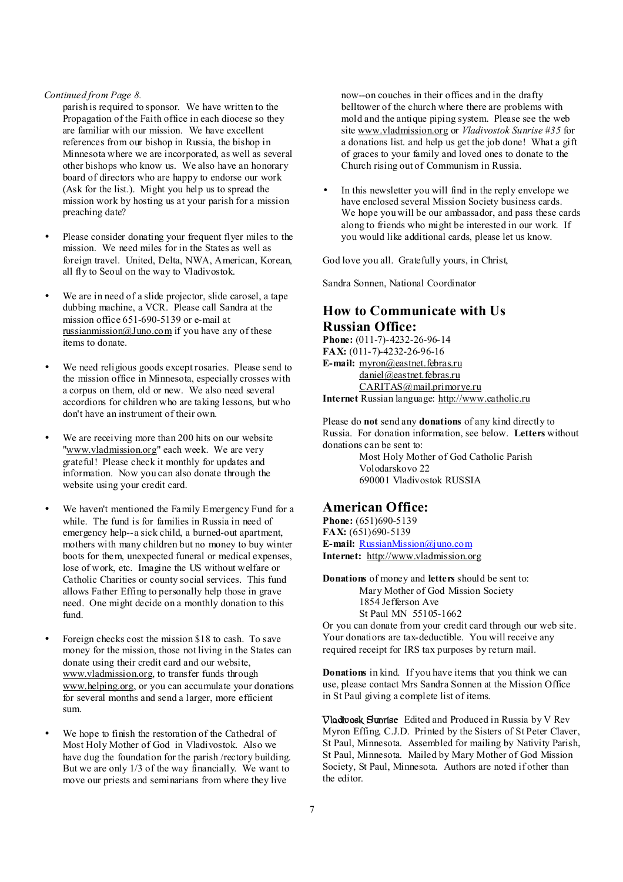#### *Continued from Page 8.*

parish is required to sponsor. We have written to the Propagation of the Faith office in each diocese so they are familiar with our mission. We have excellent references from our bishop in Russia, the bishop in Minnesota where we are incorporated, as well as several other bishops who know us. We also have an honorary board of directors who are happy to endorse our work (Ask for the list.). Might you help us to spread the mission work by hosting us at your parish for a mission preaching date?

- Please consider donating your frequent flyer miles to the mission. We need miles for in the States as well as foreign travel. United, Delta, NWA, American, Korean, all fly to Seoul on the way to Vladivostok.
- We are in need of a slide projector, slide carosel, a tape dubbing machine, a VCR. Please call Sandra at the mission office 651-690-5139 or e-mail at [russianmission@Juno.com](mailto:russianmission@Juno.com) if you have any of these items to donate.
- We need religious goods except rosaries. Please send to the mission office in Minnesota, especially crosses with a corpus on them, old or new. We also need several accordions for children who are taking lessons, but who don't have an instrument of their own.
- We are receiving more than 200 hits on our website ["www.vladmission.org"](http://www.vladmission.org) each week. We are very grateful! Please check it monthly for updates and information. Now you can also donate through the website using your credit card.
- We haven't mentioned the Family Emergency Fund for a while. The fund is for families in Russia in need of emergency help--a sick child, a burned-out apartment, mothers with many children but no money to buy winter boots for them, unexpected funeral or medical expenses, lose of work, etc. Imagine the US without welfare or Catholic Charities or county social services. This fund allows Father Effing to personally help those in grave need. One might decide on a monthly donation to this fund.
- Foreign checks cost the mission \$18 to cash. To save money for the mission, those not living in the States can donate using their credit card and our website, [www.vladmission.org](http://www.vladmission.org), to transfer funds through [www.helping.org,](http://www.helping.org) or you can accumulate your donations for several months and send a larger, more efficient sum.
- We hope to finish the restoration of the Cathedral of Most Holy Mother of God in Vladivostok. Also we have dug the foundation for the parish /rectory building. But we are only 1/3 of the way financially. We want to move our priests and seminarians from where they live

now--on couches in their offices and in the drafty belltower of the church where there are problems with mold and the antique piping system. Please see the web site [www.vladmission.org](http://www.vladmission.org) or *Vladivostok Sunrise #35* for a donations list. and help us get the job done! What a gift of graces to your family and loved ones to donate to the Church rising out of Communism in Russia.

In this newsletter you will find in the reply envelope we have enclosed several Mission Society business cards. We hope you will be our ambassador, and pass these cards along to friends who might be interested in our work. If you would like additional cards, please let us know.

God love you all. Gratefully yours, in Christ,

Sandra Sonnen, National Coordinator

# **How to Communicate with Us Russian Office:**

**Phone:** (011-7)-4232-26-96-14 **FAX:** (011-7)-4232-26-96-16 **E-mail:** [myron@eastnet.febras.ru](mailto:myron@eastnet.febras.ru) [daniel@eastnet.febras.ru](mailto:daniel@eastnet.febras.ru) [CARITAS@mail.primorye.ru](mailto:CARITAS@mail.primorye.ru) **Internet** Russian language: <http://www.catholic.ru>

Please do **not** send any **donations** of any kind directly to Russia. For donation information, see below. **Letters** without donations can be sent to:

> Most Holy Mother of God Catholic Parish Volodarskovo 22 690001 Vladivostok RUSSIA

## **American Office:**

**Phone:** (651)690-5139 **FAX:** (651)690-5139 **E-mail:** [RussianMission@juno.com](mailto:RussianMission@juno.com) **Internet:** <http://www.vladmission.org>

**Donations** of money and **letters** should be sent to: Mary Mother of God Mission Society 1854 Jefferson Ave St Paul MN 55105-1662

Or you can donate from your credit card through our web site. Your donations are tax-deductible. You will receive any required receipt for IRS tax purposes by return mail.

**Donations** in kind. If you have items that you think we can use, please contact Mrs Sandra Sonnen at the Mission Office in St Paul giving a complete list of items.

**Vladivosk Sunrise** Edited and Produced in Russia by V Rev Myron Effing, C.J.D. Printed by the Sisters of St Peter Claver, St Paul, Minnesota. Assembled for mailing by Nativity Parish, St Paul, Minnesota. Mailed by Mary Mother of God Mission Society, St Paul, Minnesota. Authors are noted if other than the editor.